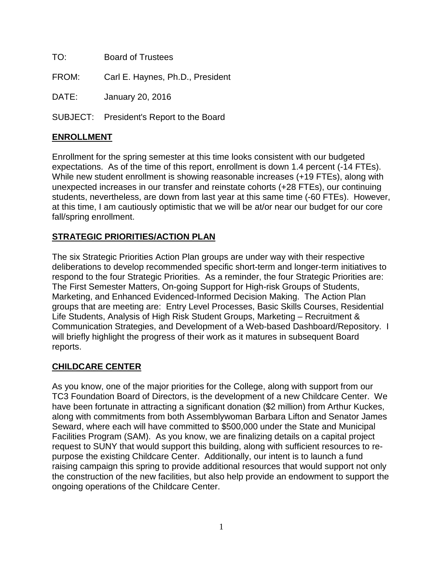| TO:   | <b>Board of Trustees</b>         |
|-------|----------------------------------|
| FROM: | Carl E. Haynes, Ph.D., President |
| DATE: | January 20, 2016                 |

SUBJECT: President's Report to the Board

# **ENROLLMENT**

Enrollment for the spring semester at this time looks consistent with our budgeted expectations. As of the time of this report, enrollment is down 1.4 percent (-14 FTEs). While new student enrollment is showing reasonable increases (+19 FTEs), along with unexpected increases in our transfer and reinstate cohorts (+28 FTEs), our continuing students, nevertheless, are down from last year at this same time (-60 FTEs). However, at this time, I am cautiously optimistic that we will be at/or near our budget for our core fall/spring enrollment.

### **STRATEGIC PRIORITIES/ACTION PLAN**

The six Strategic Priorities Action Plan groups are under way with their respective deliberations to develop recommended specific short-term and longer-term initiatives to respond to the four Strategic Priorities. As a reminder, the four Strategic Priorities are: The First Semester Matters, On-going Support for High-risk Groups of Students, Marketing, and Enhanced Evidenced-Informed Decision Making. The Action Plan groups that are meeting are: Entry Level Processes, Basic Skills Courses, Residential Life Students, Analysis of High Risk Student Groups, Marketing – Recruitment & Communication Strategies, and Development of a Web-based Dashboard/Repository. I will briefly highlight the progress of their work as it matures in subsequent Board reports.

### **CHILDCARE CENTER**

As you know, one of the major priorities for the College, along with support from our TC3 Foundation Board of Directors, is the development of a new Childcare Center. We have been fortunate in attracting a significant donation (\$2 million) from Arthur Kuckes, along with commitments from both Assemblywoman Barbara Lifton and Senator James Seward, where each will have committed to \$500,000 under the State and Municipal Facilities Program (SAM). As you know, we are finalizing details on a capital project request to SUNY that would support this building, along with sufficient resources to repurpose the existing Childcare Center. Additionally, our intent is to launch a fund raising campaign this spring to provide additional resources that would support not only the construction of the new facilities, but also help provide an endowment to support the ongoing operations of the Childcare Center.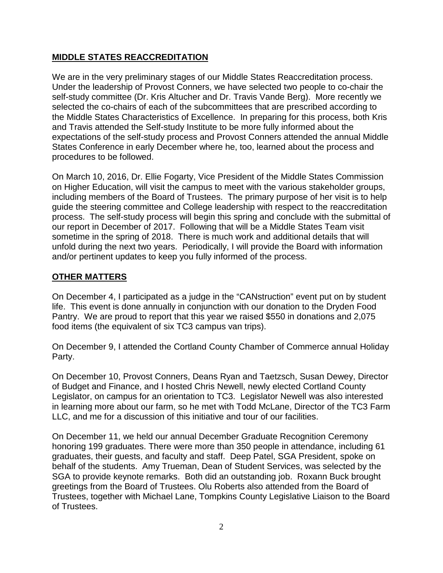### **MIDDLE STATES REACCREDITATION**

We are in the very preliminary stages of our Middle States Reaccreditation process. Under the leadership of Provost Conners, we have selected two people to co-chair the self-study committee (Dr. Kris Altucher and Dr. Travis Vande Berg). More recently we selected the co-chairs of each of the subcommittees that are prescribed according to the Middle States Characteristics of Excellence. In preparing for this process, both Kris and Travis attended the Self-study Institute to be more fully informed about the expectations of the self-study process and Provost Conners attended the annual Middle States Conference in early December where he, too, learned about the process and procedures to be followed.

On March 10, 2016, Dr. Ellie Fogarty, Vice President of the Middle States Commission on Higher Education, will visit the campus to meet with the various stakeholder groups, including members of the Board of Trustees. The primary purpose of her visit is to help guide the steering committee and College leadership with respect to the reaccreditation process. The self-study process will begin this spring and conclude with the submittal of our report in December of 2017. Following that will be a Middle States Team visit sometime in the spring of 2018. There is much work and additional details that will unfold during the next two years. Periodically, I will provide the Board with information and/or pertinent updates to keep you fully informed of the process.

## **OTHER MATTERS**

On December 4, I participated as a judge in the "CANstruction" event put on by student life. This event is done annually in conjunction with our donation to the Dryden Food Pantry. We are proud to report that this year we raised \$550 in donations and 2,075 food items (the equivalent of six TC3 campus van trips).

On December 9, I attended the Cortland County Chamber of Commerce annual Holiday Party.

On December 10, Provost Conners, Deans Ryan and Taetzsch, Susan Dewey, Director of Budget and Finance, and I hosted Chris Newell, newly elected Cortland County Legislator, on campus for an orientation to TC3. Legislator Newell was also interested in learning more about our farm, so he met with Todd McLane, Director of the TC3 Farm LLC, and me for a discussion of this initiative and tour of our facilities.

On December 11, we held our annual December Graduate Recognition Ceremony honoring 199 graduates. There were more than 350 people in attendance, including 61 graduates, their guests, and faculty and staff. Deep Patel, SGA President, spoke on behalf of the students. Amy Trueman, Dean of Student Services, was selected by the SGA to provide keynote remarks. Both did an outstanding job. Roxann Buck brought greetings from the Board of Trustees. Olu Roberts also attended from the Board of Trustees, together with Michael Lane, Tompkins County Legislative Liaison to the Board of Trustees.